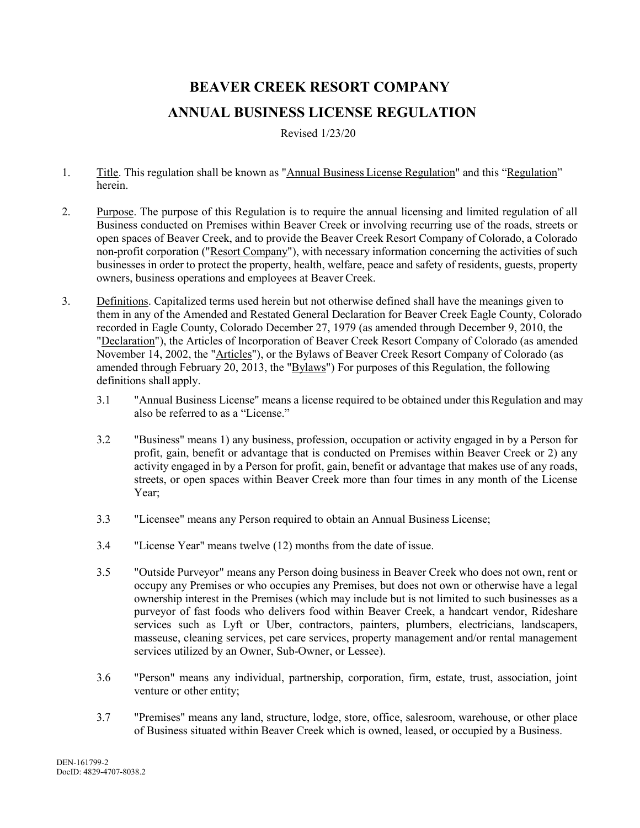## **BEAVER CREEK RESORT COMPANY ANNUAL BUSINESS LICENSE REGULATION**

Revised 1/23/20

- 1. Title. This regulation shall be known as "Annual Business License Regulation" and this "Regulation" herein.
- 2. Purpose. The purpose of this Regulation is to require the annual licensing and limited regulation of all Business conducted on Premises within Beaver Creek or involving recurring use of the roads, streets or open spaces of Beaver Creek, and to provide the Beaver Creek Resort Company of Colorado, a Colorado non-profit corporation ("Resort Company"), with necessary information concerning the activities of such businesses in order to protect the property, health, welfare, peace and safety of residents, guests, property owners, business operations and employees at Beaver Creek.
- 3. Definitions. Capitalized terms used herein but not otherwise defined shall have the meanings given to them in any of the Amended and Restated General Declaration for Beaver Creek Eagle County, Colorado recorded in Eagle County, Colorado December 27, 1979 (as amended through December 9, 2010, the "Declaration"), the Articles of Incorporation of Beaver Creek Resort Company of Colorado (as amended November 14, 2002, the "Articles"), or the Bylaws of Beaver Creek Resort Company of Colorado (as amended through February 20, 2013, the "Bylaws") For purposes of this Regulation, the following definitions shall apply.
	- 3.1 "Annual Business License" means a license required to be obtained under thisRegulation and may also be referred to as a "License."
	- 3.2 "Business" means 1) any business, profession, occupation or activity engaged in by a Person for profit, gain, benefit or advantage that is conducted on Premises within Beaver Creek or 2) any activity engaged in by a Person for profit, gain, benefit or advantage that makes use of any roads, streets, or open spaces within Beaver Creek more than four times in any month of the License Year;
	- 3.3 "Licensee" means any Person required to obtain an Annual Business License;
	- 3.4 "License Year" means twelve (12) months from the date of issue.
	- 3.5 "Outside Purveyor" means any Person doing business in Beaver Creek who does not own, rent or occupy any Premises or who occupies any Premises, but does not own or otherwise have a legal ownership interest in the Premises (which may include but is not limited to such businesses as a purveyor of fast foods who delivers food within Beaver Creek, a handcart vendor, Rideshare services such as Lyft or Uber, contractors, painters, plumbers, electricians, landscapers, masseuse, cleaning services, pet care services, property management and/or rental management services utilized by an Owner, Sub-Owner, or Lessee).
	- 3.6 "Person" means any individual, partnership, corporation, firm, estate, trust, association, joint venture or other entity;
	- 3.7 "Premises" means any land, structure, lodge, store, office, salesroom, warehouse, or other place of Business situated within Beaver Creek which is owned, leased, or occupied by a Business.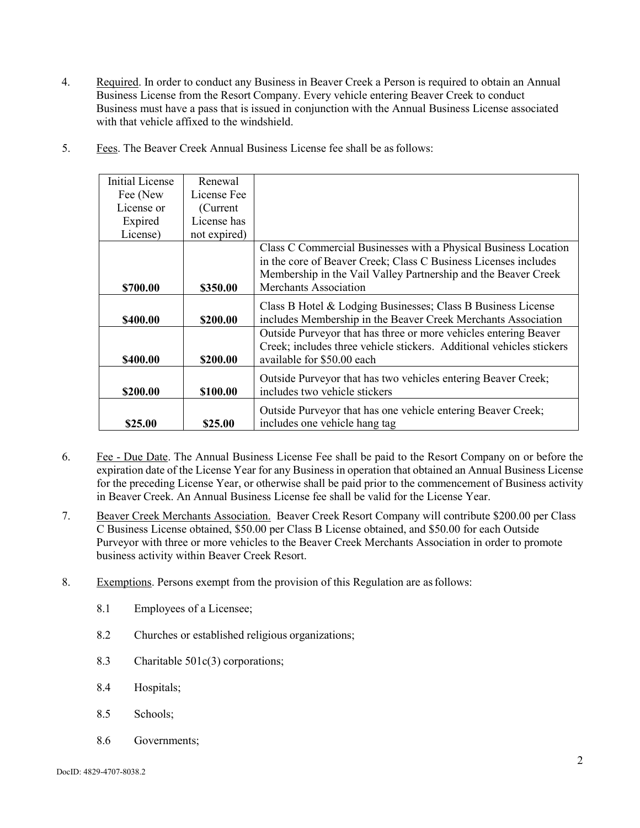- 4. Required. In order to conduct any Business in Beaver Creek a Person is required to obtain an Annual Business License from the Resort Company. Every vehicle entering Beaver Creek to conduct Business must have a pass that is issued in conjunction with the Annual Business License associated with that vehicle affixed to the windshield.
- 5. Fees. The Beaver Creek Annual Business License fee shall be asfollows:

| <b>Initial License</b> | Renewal      |                                                                      |
|------------------------|--------------|----------------------------------------------------------------------|
| Fee (New               | License Fee  |                                                                      |
| License or             | (Current)    |                                                                      |
| Expired                | License has  |                                                                      |
| License)               | not expired) |                                                                      |
|                        |              | Class C Commercial Businesses with a Physical Business Location      |
|                        |              | in the core of Beaver Creek; Class C Business Licenses includes      |
|                        |              | Membership in the Vail Valley Partnership and the Beaver Creek       |
| \$700.00               | \$350.00     | <b>Merchants Association</b>                                         |
|                        |              | Class B Hotel & Lodging Businesses; Class B Business License         |
| \$400.00               | \$200.00     | includes Membership in the Beaver Creek Merchants Association        |
|                        |              | Outside Purveyor that has three or more vehicles entering Beaver     |
|                        |              | Creek; includes three vehicle stickers. Additional vehicles stickers |
| \$400.00               | \$200.00     | available for \$50.00 each                                           |
|                        |              | Outside Purveyor that has two vehicles entering Beaver Creek;        |
| \$200.00               | \$100.00     | includes two vehicle stickers                                        |
|                        |              | Outside Purveyor that has one vehicle entering Beaver Creek;         |
| \$25.00                | \$25.00      | includes one vehicle hang tag                                        |

- 6. Fee Due Date. The Annual Business License Fee shall be paid to the Resort Company on or before the expiration date of the License Year for any Business in operation that obtained an Annual Business License for the preceding License Year, or otherwise shall be paid prior to the commencement of Business activity in Beaver Creek. An Annual Business License fee shall be valid for the License Year.
- 7. Beaver Creek Merchants Association. Beaver Creek Resort Company will contribute \$200.00 per Class C Business License obtained, \$50.00 per Class B License obtained, and \$50.00 for each Outside Purveyor with three or more vehicles to the Beaver Creek Merchants Association in order to promote business activity within Beaver Creek Resort.
- 8. Exemptions. Persons exempt from the provision of this Regulation are asfollows:
	- 8.1 Employees of a Licensee;
	- 8.2 Churches or established religious organizations;
	- 8.3 Charitable 501c(3) corporations;
	- 8.4 Hospitals;
	- 8.5 Schools;
	- 8.6 Governments;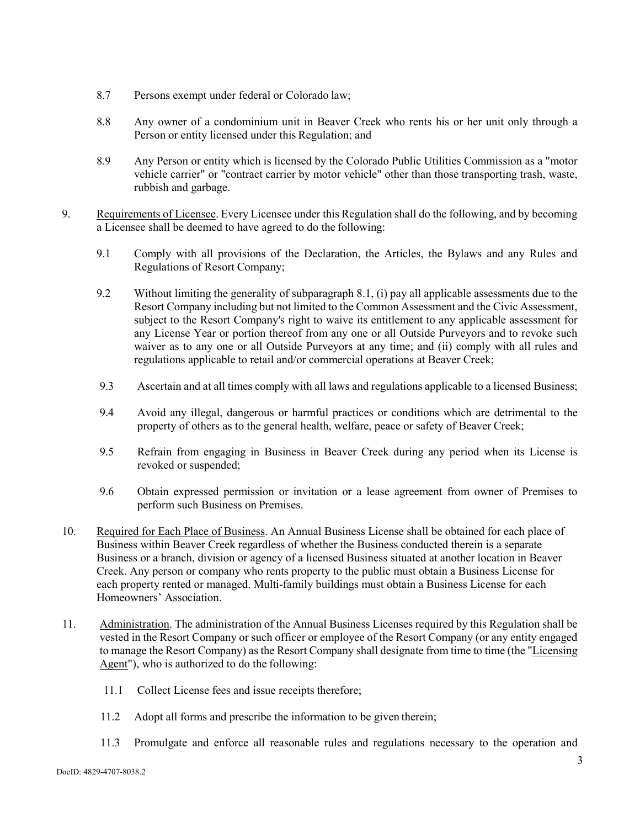- 8.7 Persons exempt under federal or Colorado law;
- 8.8 Any owner of a condominium unit in Beaver Creek who rents his or her unit only through a Person or entity licensed under this Regulation; and
- 8.9 Any Person or entity which is licensed by the Colorado Public Utilities Commission as a "motor vehicle carrier" or "contract carrier by motor vehicle" other than those transporting trash, waste, rubbish and garbage.
- 9. Requirements of Licensee. Every Licensee under this Regulation shall do the following, and by becoming a Licensee shall be deemed to have agreed to do the following:
	- 9.1 Comply with all provisions of the Declaration, the Articles, the Bylaws and any Rules and Regulations of Resort Company;
	- 9.2 Without limiting the generality of subparagraph 8.1, (i) pay all applicable assessments due to the Resort Company including but not limited to the Common Assessment and the Civic Assessment, subject to the Resort Company's right to waive its entitlement to any applicable assessment for any License Year or portion thereof from any one or all Outside Purveyors and to revoke such waiver as to any one or all Outside Purveyors at any time; and (ii) comply with all rules and regulations applicable to retail and/or commercial operations at Beaver Creek;
	- 9.3 Ascertain and at all times comply with all laws and regulations applicable to a licensed Business;
	- 9.4 Avoid any illegal, dangerous or harmful practices or conditions which are detrimental to the property of others as to the general health, welfare, peace or safety of Beaver Creek;
	- 9.5 Refrain from engaging in Business in Beaver Creek during any period when its License is revoked or suspended;
	- 9.6 Obtain expressed permission or invitation or a lease agreement from owner of Premises to perform such Business on Premises.
- 10. Required for Each Place of Business. An Annual Business License shall be obtained for each place of Business within Beaver Creek regardless of whether the Business conducted therein is a separate Business or a branch, division or agency of a licensed Business situated at another location in Beaver Creek. Any person or company who rents property to the public must obtain a Business License for each property rented or managed. Multi-family buildings must obtain a Business License for each Homeowners' Association.
- 11. Administration. The administration of the Annual Business Licenses required by this Regulation shall be vested in the Resort Company or such officer or employee of the Resort Company (or any entity engaged to manage the Resort Company) as the Resort Company shall designate from time to time (the "Licensing Agent"), who is authorized to do the following:
	- 11.1 Collect License fees and issue receipts therefore;
	- 11.2 Adopt all forms and prescribe the information to be given therein;
	- 11.3 Promulgate and enforce all reasonable rules and regulations necessary to the operation and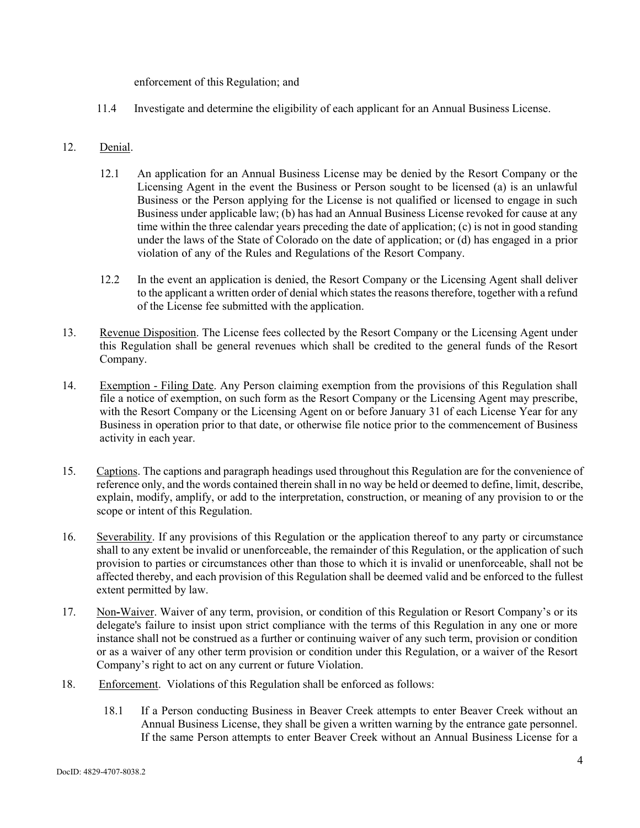enforcement of this Regulation; and

11.4 Investigate and determine the eligibility of each applicant for an Annual Business License.

## 12. Denial.

- 12.1 An application for an Annual Business License may be denied by the Resort Company or the Licensing Agent in the event the Business or Person sought to be licensed (a) is an unlawful Business or the Person applying for the License is not qualified or licensed to engage in such Business under applicable law; (b) has had an Annual Business License revoked for cause at any time within the three calendar years preceding the date of application; (c) is not in good standing under the laws of the State of Colorado on the date of application; or (d) has engaged in a prior violation of any of the Rules and Regulations of the Resort Company.
- 12.2 In the event an application is denied, the Resort Company or the Licensing Agent shall deliver to the applicant a written order of denial which states the reasons therefore, together with a refund of the License fee submitted with the application.
- 13. Revenue Disposition. The License fees collected by the Resort Company or the Licensing Agent under this Regulation shall be general revenues which shall be credited to the general funds of the Resort Company.
- 14. Exemption Filing Date. Any Person claiming exemption from the provisions of this Regulation shall file a notice of exemption, on such form as the Resort Company or the Licensing Agent may prescribe, with the Resort Company or the Licensing Agent on or before January 31 of each License Year for any Business in operation prior to that date, or otherwise file notice prior to the commencement of Business activity in each year.
- 15. Captions. The captions and paragraph headings used throughout this Regulation are for the convenience of reference only, and the words contained therein shall in no way be held or deemed to define, limit, describe, explain, modify, amplify, or add to the interpretation, construction, or meaning of any provision to or the scope or intent of this Regulation.
- 16. Severability. If any provisions of this Regulation or the application thereof to any party or circumstance shall to any extent be invalid or unenforceable, the remainder of this Regulation, or the application of such provision to parties or circumstances other than those to which it is invalid or unenforceable, shall not be affected thereby, and each provision of this Regulation shall be deemed valid and be enforced to the fullest extent permitted by law.
- 17. Non**-**Waiver. Waiver of any term, provision, or condition of this Regulation or Resort Company's or its delegate's failure to insist upon strict compliance with the terms of this Regulation in any one or more instance shall not be construed as a further or continuing waiver of any such term, provision or condition or as a waiver of any other term provision or condition under this Regulation, or a waiver of the Resort Company's right to act on any current or future Violation.
- 18. Enforcement. Violations of this Regulation shall be enforced as follows:
	- 18.1 If a Person conducting Business in Beaver Creek attempts to enter Beaver Creek without an Annual Business License, they shall be given a written warning by the entrance gate personnel. If the same Person attempts to enter Beaver Creek without an Annual Business License for a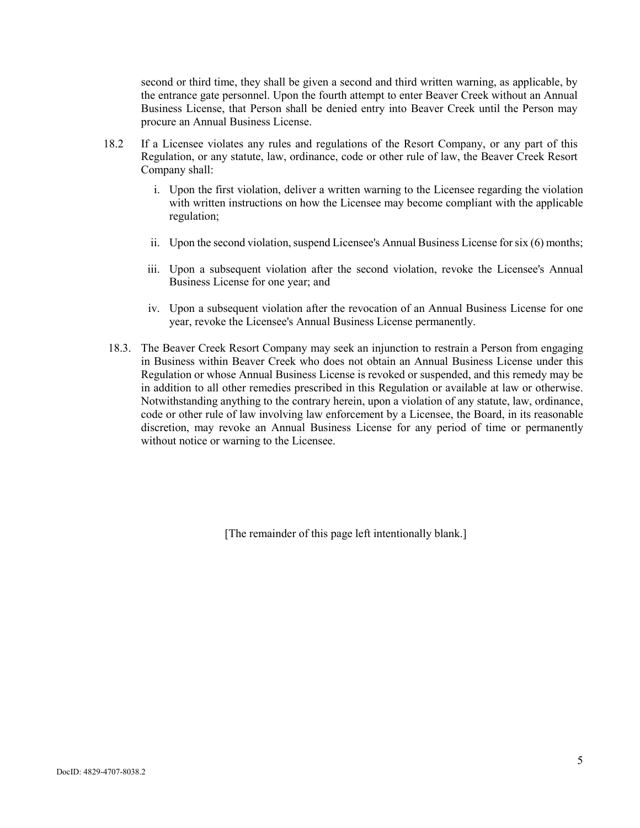second or third time, they shall be given a second and third written warning, as applicable, by the entrance gate personnel. Upon the fourth attempt to enter Beaver Creek without an Annual Business License, that Person shall be denied entry into Beaver Creek until the Person may procure an Annual Business License.

- 18.2 If a Licensee violates any rules and regulations of the Resort Company, or any part of this Regulation, or any statute, law, ordinance, code or other rule of law, the Beaver Creek Resort Company shall:
	- i. Upon the first violation, deliver a written warning to the Licensee regarding the violation with written instructions on how the Licensee may become compliant with the applicable regulation;
	- ii. Upon the second violation, suspend Licensee's Annual Business License for six (6) months;
	- iii. Upon a subsequent violation after the second violation, revoke the Licensee's Annual Business License for one year; and
	- iv. Upon a subsequent violation after the revocation of an Annual Business License for one year, revoke the Licensee's Annual Business License permanently.
- 18.3. The Beaver Creek Resort Company may seek an injunction to restrain a Person from engaging in Business within Beaver Creek who does not obtain an Annual Business License under this Regulation or whose Annual Business License is revoked or suspended, and this remedy may be in addition to all other remedies prescribed in this Regulation or available at law or otherwise. Notwithstanding anything to the contrary herein, upon a violation of any statute, law, ordinance, code or other rule of law involving law enforcement by a Licensee, the Board, in its reasonable discretion, may revoke an Annual Business License for any period of time or permanently without notice or warning to the Licensee.

[The remainder of this page left intentionally blank.]